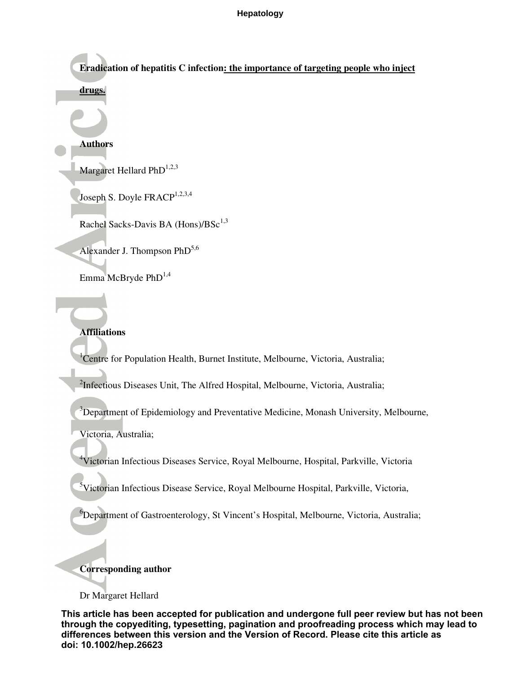**Eradication of hepatitis C infection: the importance of targeting people who inject** 

## **drugs.**

#### **Authors**

Margaret Hellard Ph $D^{1,2,3}$ 

Joseph S. Doyle FRACP<sup>1,2,3,4</sup>

Rachel Sacks-Davis BA (Hons)/BSc<sup>1,3</sup>

Alexander J. Thompson  $PhD^{5,6}$ 

Emma McBryde PhD<sup>1,4</sup>

## **Affiliations**

<sup>1</sup> Centre for Population Health, Burnet Institute, Melbourne, Victoria, Australia;

<sup>2</sup>Infectious Diseases Unit, The Alfred Hospital, Melbourne, Victoria, Australia;

<sup>3</sup>Department of Epidemiology and Preventative Medicine, Monash University, Melbourne,

Victoria, Australia;

<sup>4</sup>Victorian Infectious Diseases Service, Royal Melbourne, Hospital, Parkville, Victoria

<sup>5</sup>Victorian Infectious Disease Service, Royal Melbourne Hospital, Parkville, Victoria,

<sup>6</sup>Department of Gastroenterology, St Vincent's Hospital, Melbourne, Victoria, Australia;

## **Corresponding author**

#### Dr Margaret Hellard

**This article has been accepted for publication and undergone full peer review but has not been through the copyediting, typesetting, pagination and proofreading process which may lead to differences between this version and the Version of Record. Please cite this article as doi: 10.1002/hep.26623**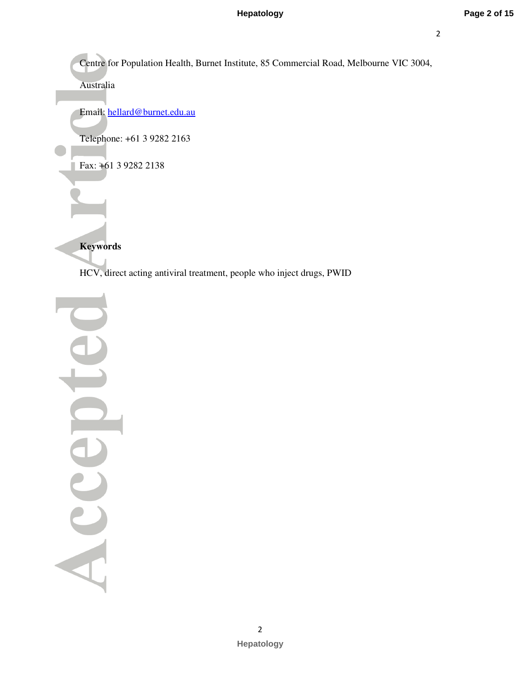Centre for Population Health, Burnet Institute, 85 Commercial Road, Melbourne VIC 3004,

Australia

Email: hellard@burnet.edu.au

Telephone: +61 3 9282 2163

Fax: +61 3 9282 2138

**Keywords** 

HCV, direct acting antiviral treatment, people who inject drugs, PWID

 Accel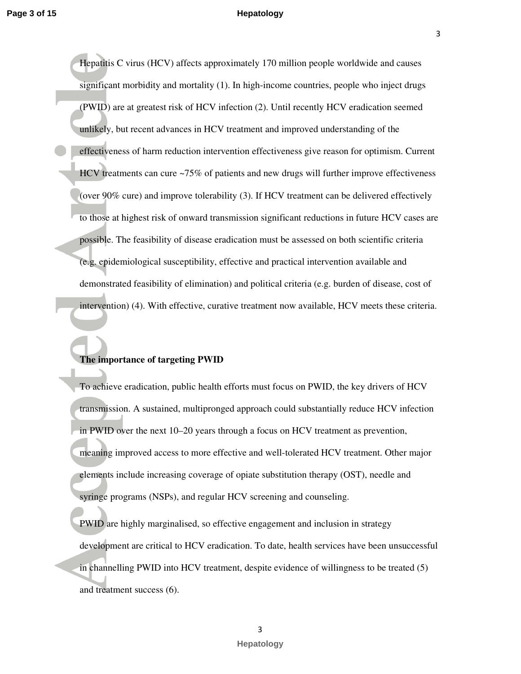3

Hepatitis C virus (HCV) affects approximately 170 million people worldwide and causes significant morbidity and mortality (1). In high-income countries, people who inject drugs (PWID) are at greatest risk of HCV infection (2). Until recently HCV eradication seemed unlikely, but recent advances in HCV treatment and improved understanding of the effectiveness of harm reduction intervention effectiveness give reason for optimism. Current HCV treatments can cure ~75% of patients and new drugs will further improve effectiveness (over 90% cure) and improve tolerability (3). If HCV treatment can be delivered effectively to those at highest risk of onward transmission significant reductions in future HCV cases are possible. The feasibility of disease eradication must be assessed on both scientific criteria (e.g. epidemiological susceptibility, effective and practical intervention available and demonstrated feasibility of elimination) and political criteria (e.g. burden of disease, cost of intervention) (4). With effective, curative treatment now available, HCV meets these criteria.

# **The importance of targeting PWID**

To achieve eradication, public health efforts must focus on PWID, the key drivers of HCV transmission. A sustained, multipronged approach could substantially reduce HCV infection in PWID over the next 10–20 years through a focus on HCV treatment as prevention, meaning improved access to more effective and well-tolerated HCV treatment. Other major elements include increasing coverage of opiate substitution therapy (OST), needle and syringe programs (NSPs), and regular HCV screening and counseling.

PWID are highly marginalised, so effective engagement and inclusion in strategy development are critical to HCV eradication. To date, health services have been unsuccessful in channelling PWID into HCV treatment, despite evidence of willingness to be treated (5) and treatment success (6).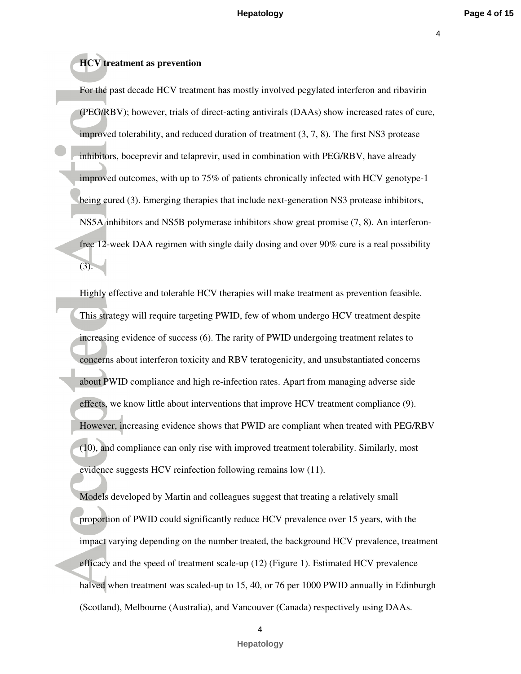# **HCV treatment as prevention**

For the past decade HCV treatment has mostly involved pegylated interferon and ribavirin (PEG/RBV); however, trials of direct-acting antivirals (DAAs) show increased rates of cure, improved tolerability, and reduced duration of treatment (3, 7, 8). The first NS3 protease inhibitors, boceprevir and telaprevir, used in combination with PEG/RBV, have already improved outcomes, with up to 75% of patients chronically infected with HCV genotype-1 being cured (3). Emerging therapies that include next-generation NS3 protease inhibitors, NS5A inhibitors and NS5B polymerase inhibitors show great promise (7, 8). An interferonfree 12-week DAA regimen with single daily dosing and over 90% cure is a real possibility  $(3).$ 

Highly effective and tolerable HCV therapies will make treatment as prevention feasible. This strategy will require targeting PWID, few of whom undergo HCV treatment despite increasing evidence of success (6). The rarity of PWID undergoing treatment relates to concerns about interferon toxicity and RBV teratogenicity, and unsubstantiated concerns about PWID compliance and high re-infection rates. Apart from managing adverse side effects, we know little about interventions that improve HCV treatment compliance (9). However, increasing evidence shows that PWID are compliant when treated with PEG/RBV (10), and compliance can only rise with improved treatment tolerability. Similarly, most evidence suggests HCV reinfection following remains low (11).

Models developed by Martin and colleagues suggest that treating a relatively small proportion of PWID could significantly reduce HCV prevalence over 15 years, with the impact varying depending on the number treated, the background HCV prevalence, treatment efficacy and the speed of treatment scale-up (12) (Figure 1). Estimated HCV prevalence halved when treatment was scaled-up to 15, 40, or 76 per 1000 PWID annually in Edinburgh (Scotland), Melbourne (Australia), and Vancouver (Canada) respectively using DAAs.

4

**Hepatology**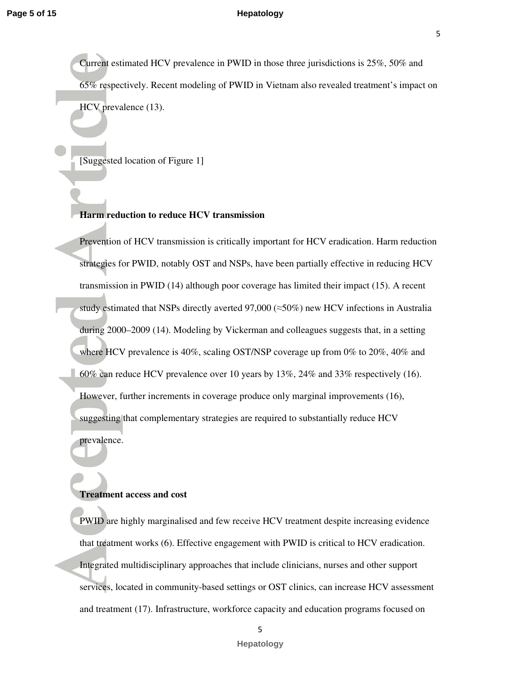Current estimated HCV prevalence in PWID in those three jurisdictions is 25%, 50% and 65% respectively. Recent modeling of PWID in Vietnam also revealed treatment's impact on HCV prevalence (13).

[Suggested location of Figure 1]

#### **Harm reduction to reduce HCV transmission**

Prevention of HCV transmission is critically important for HCV eradication. Harm reduction strategies for PWID, notably OST and NSPs, have been partially effective in reducing HCV transmission in PWID (14) although poor coverage has limited their impact (15). A recent study estimated that NSPs directly averted 97,000 ( $\approx$ 50%) new HCV infections in Australia during 2000–2009 (14). Modeling by Vickerman and colleagues suggests that, in a setting where HCV prevalence is 40%, scaling OST/NSP coverage up from 0% to 20%, 40% and 60% can reduce HCV prevalence over 10 years by 13%, 24% and 33% respectively (16). However, further increments in coverage produce only marginal improvements (16), suggesting that complementary strategies are required to substantially reduce HCV prevalence.

#### **Treatment access and cost**

PWID are highly marginalised and few receive HCV treatment despite increasing evidence that treatment works (6). Effective engagement with PWID is critical to HCV eradication. Integrated multidisciplinary approaches that include clinicians, nurses and other support services, located in community-based settings or OST clinics, can increase HCV assessment and treatment (17). Infrastructure, workforce capacity and education programs focused on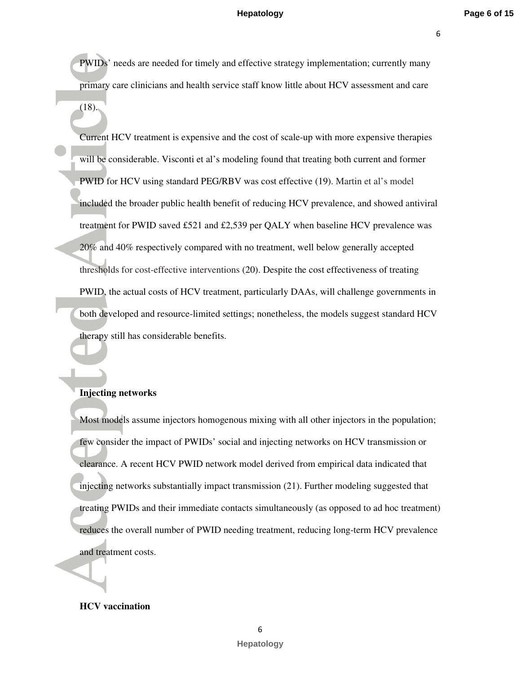6

PWIDs' needs are needed for timely and effective strategy implementation; currently many primary care clinicians and health service staff know little about HCV assessment and care  $(18)$ .

Current HCV treatment is expensive and the cost of scale-up with more expensive therapies will be considerable. Visconti et al's modeling found that treating both current and former PWID for HCV using standard PEG/RBV was cost effective (19). Martin et al's model included the broader public health benefit of reducing HCV prevalence, and showed antiviral treatment for PWID saved £521 and £2,539 per QALY when baseline HCV prevalence was 20% and 40% respectively compared with no treatment, well below generally accepted thresholds for cost-effective interventions (20). Despite the cost effectiveness of treating PWID, the actual costs of HCV treatment, particularly DAAs, will challenge governments in both developed and resource-limited settings; nonetheless, the models suggest standard HCV therapy still has considerable benefits.

#### **Injecting networks**

Most models assume injectors homogenous mixing with all other injectors in the population; few consider the impact of PWIDs' social and injecting networks on HCV transmission or clearance. A recent HCV PWID network model derived from empirical data indicated that injecting networks substantially impact transmission (21). Further modeling suggested that treating PWIDs and their immediate contacts simultaneously (as opposed to ad hoc treatment) reduces the overall number of PWID needing treatment, reducing long-term HCV prevalence and treatment costs.

#### **HCV vaccination**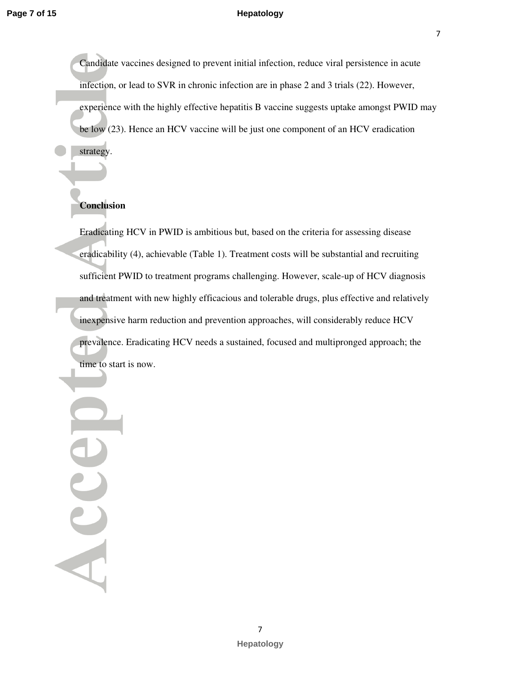7

Candidate vaccines designed to prevent initial infection, reduce viral persistence in acute infection, or lead to SVR in chronic infection are in phase 2 and 3 trials (22). However, experience with the highly effective hepatitis B vaccine suggests uptake amongst PWID may be low (23). Hence an HCV vaccine will be just one component of an HCV eradication strategy.

# **Conclusion**

Eradicating HCV in PWID is ambitious but, based on the criteria for assessing disease eradicability (4), achievable (Table 1). Treatment costs will be substantial and recruiting sufficient PWID to treatment programs challenging. However, scale-up of HCV diagnosis and treatment with new highly efficacious and tolerable drugs, plus effective and relatively inexpensive harm reduction and prevention approaches, will considerably reduce HCV prevalence. Eradicating HCV needs a sustained, focused and multipronged approach; the time to start is now.

 Accel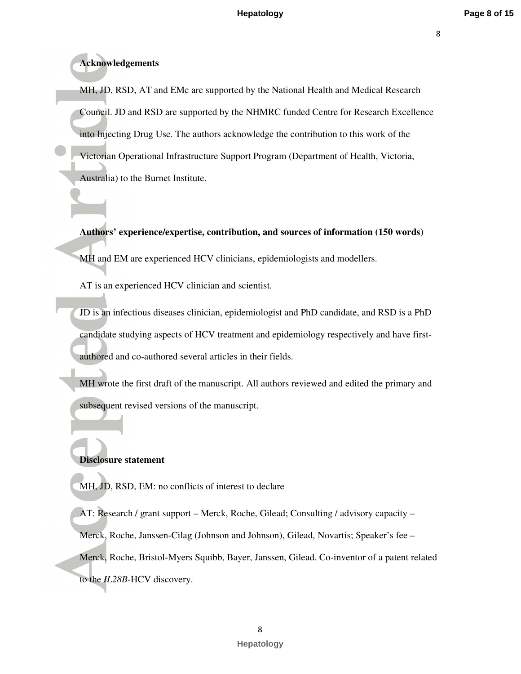# **Acknowledgements**

MH, JD, RSD, AT and EMc are supported by the National Health and Medical Research Council. JD and RSD are supported by the NHMRC funded Centre for Research Excellence into Injecting Drug Use. The authors acknowledge the contribution to this work of the Victorian Operational Infrastructure Support Program (Department of Health, Victoria, Australia) to the Burnet Institute.

**Authors' experience/expertise, contribution, and sources of information (150 words)**  MH and EM are experienced HCV clinicians, epidemiologists and modellers.

AT is an experienced HCV clinician and scientist.

JD is an infectious diseases clinician, epidemiologist and PhD candidate, and RSD is a PhD candidate studying aspects of HCV treatment and epidemiology respectively and have firstauthored and co-authored several articles in their fields.

MH wrote the first draft of the manuscript. All authors reviewed and edited the primary and subsequent revised versions of the manuscript.

## **Disclosure statement**

MH, JD, RSD, EM: no conflicts of interest to declare

AT: Research / grant support – Merck, Roche, Gilead; Consulting / advisory capacity – Merck, Roche, Janssen-Cilag (Johnson and Johnson), Gilead, Novartis; Speaker's fee – Merck, Roche, Bristol-Myers Squibb, Bayer, Janssen, Gilead. Co-inventor of a patent related to the *IL28B-*HCV discovery.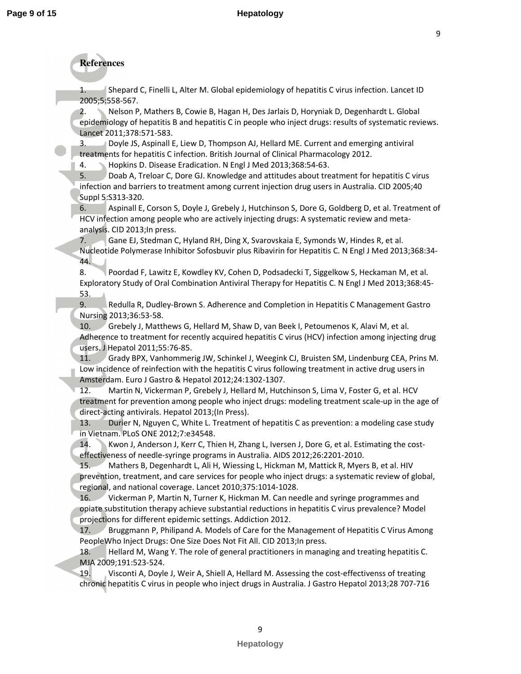# **References**

1. Shepard C, Finelli L, Alter M. Global epidemiology of hepatitis C virus infection. Lancet ID 2005;5:558-567.

2. Nelson P, Mathers B, Cowie B, Hagan H, Des Jarlais D, Horyniak D, Degenhardt L. Global epidemiology of hepatitis B and hepatitis C in people who inject drugs: results of systematic reviews. Lancet 2011;378:571-583.

Doyle JS, Aspinall E, Liew D, Thompson AJ, Hellard ME. Current and emerging antiviral treatments for hepatitis C infection. British Journal of Clinical Pharmacology 2012.

4. Hopkins D. Disease Eradication. N Engl J Med 2013;368:54-63.

5. Doab A, Treloar C, Dore GJ. Knowledge and attitudes about treatment for hepatitis C virus infection and barriers to treatment among current injection drug users in Australia. CID 2005;40 Suppl 5:S313-320.

6. Aspinall E, Corson S, Doyle J, Grebely J, Hutchinson S, Dore G, Goldberg D, et al. Treatment of HCV infection among people who are actively injecting drugs: A systematic review and metaanalysis. CID 2013;In press.

7. Gane EJ, Stedman C, Hyland RH, Ding X, Svarovskaia E, Symonds W, Hindes R, et al. Nucleotide Polymerase Inhibitor Sofosbuvir plus Ribavirin for Hepatitis C. N Engl J Med 2013;368:34- 44.

8. Poordad F, Lawitz E, Kowdley KV, Cohen D, Podsadecki T, Siggelkow S, Heckaman M, et al. Exploratory Study of Oral Combination Antiviral Therapy for Hepatitis C. N Engl J Med 2013;368:45- 53.

9. Redulla R, Dudley-Brown S. Adherence and Completion in Hepatitis C Management Gastro Nursing 2013;36:53-58.

10. Grebely J, Matthews G, Hellard M, Shaw D, van Beek I, Petoumenos K, Alavi M, et al. Adherence to treatment for recently acquired hepatitis C virus (HCV) infection among injecting drug users. J Hepatol 2011;55:76-85.

11. Grady BPX, Vanhommerig JW, Schinkel J, Weegink CJ, Bruisten SM, Lindenburg CEA, Prins M. Low incidence of reinfection with the hepatitis C virus following treatment in active drug users in Amsterdam. Euro J Gastro & Hepatol 2012;24:1302-1307.

12. Martin N, Vickerman P, Grebely J, Hellard M, Hutchinson S, Lima V, Foster G, et al. HCV treatment for prevention among people who inject drugs: modeling treatment scale-up in the age of direct-acting antivirals. Hepatol 2013;(In Press).

13. Durier N, Nguyen C, White L. Treatment of hepatitis C as prevention: a modeling case study in Vietnam. PLoS ONE 2012;7:e34548.

14. Kwon J, Anderson J, Kerr C, Thien H, Zhang L, Iversen J, Dore G, et al. Estimating the costeffectiveness of needle-syringe programs in Australia. AIDS 2012;26:2201-2010.

15. Mathers B, Degenhardt L, Ali H, Wiessing L, Hickman M, Mattick R, Myers B, et al. HIV prevention, treatment, and care services for people who inject drugs: a systematic review of global, regional, and national coverage. Lancet 2010;375:1014-1028.

16. Vickerman P, Martin N, Turner K, Hickman M. Can needle and syringe programmes and opiate substitution therapy achieve substantial reductions in hepatitis C virus prevalence? Model projections for different epidemic settings. Addiction 2012.

17. Bruggmann P, Philipand A. Models of Care for the Management of Hepatitis C Virus Among PeopleWho Inject Drugs: One Size Does Not Fit All. CID 2013;In press.

18. Hellard M, Wang Y. The role of general practitioners in managing and treating hepatitis C. MJA 2009;191:523-524.

19. Visconti A, Doyle J, Weir A, Shiell A, Hellard M. Assessing the cost-effectivenss of treating chronic hepatitis C virus in people who inject drugs in Australia. J Gastro Hepatol 2013;28 707-716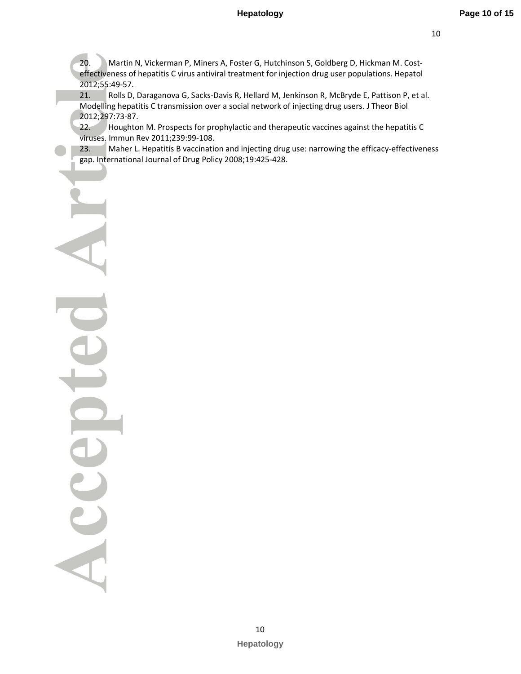20. Martin N, Vickerman P, Miners A, Foster G, Hutchinson S, Goldberg D, Hickman M. Costeffectiveness of hepatitis C virus antiviral treatment for injection drug user populations. Hepatol 2012;55:49-57.

21. Rolls D, Daraganova G, Sacks-Davis R, Hellard M, Jenkinson R, McBryde E, Pattison P, et al. Modelling hepatitis C transmission over a social network of injecting drug users. J Theor Biol 2012;297:73-87.

22. Houghton M. Prospects for prophylactic and therapeutic vaccines against the hepatitis C viruses. Immun Rev 2011;239:99-108.

23. Maher L. Hepatitis B vaccination and injecting drug use: narrowing the efficacy-effectiveness gap. International Journal of Drug Policy 2008;19:425-428.

Acce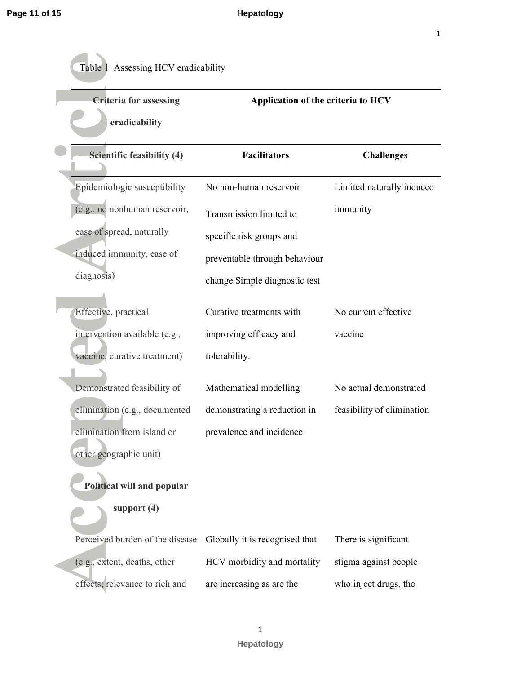| <b>Criteria for assessing</b>   | Application of the criteria to HCV |                            |
|---------------------------------|------------------------------------|----------------------------|
| eradicability                   |                                    |                            |
| Scientific feasibility (4)      | <b>Facilitators</b>                | <b>Challenges</b>          |
| Epidemiologic susceptibility    | No non-human reservoir             | Limited naturally induced  |
| (e.g., no nonhuman reservoir,   | Transmission limited to            | immunity                   |
| ease of spread, naturally       | specific risk groups and           |                            |
| induced immunity, ease of       | preventable through behaviour      |                            |
| diagnosis)                      | change.Simple diagnostic test      |                            |
| Effective, practical            | Curative treatments with           | No current effective       |
| intervention available (e.g.,   | improving efficacy and             | vaccine                    |
| vaccine, curative treatment)    | tolerability.                      |                            |
| Demonstrated feasibility of     | Mathematical modelling             | No actual demonstrated     |
| elimination (e.g., documented   | demonstrating a reduction in       | feasibility of elimination |
| elimination from island or      | prevalence and incidence           |                            |
| other geographic unit)          |                                    |                            |
| Political will and popular      |                                    |                            |
| support (4)                     |                                    |                            |
| Perceived burden of the disease | Globally it is recognised that     | There is significant       |
| (e.g., extent, deaths, other    | HCV morbidity and mortality        | stigma against people      |
| effects; relevance to rich and  | are increasing as are the          | who inject drugs, the      |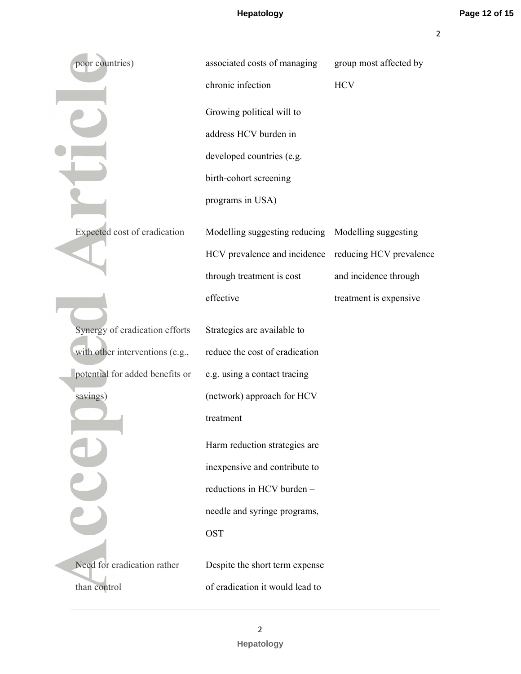2

| poor countries)                 | associated costs of managing    | group most affected by  |
|---------------------------------|---------------------------------|-------------------------|
|                                 | chronic infection               | <b>HCV</b>              |
|                                 | Growing political will to       |                         |
|                                 | address HCV burden in           |                         |
|                                 | developed countries (e.g.       |                         |
|                                 | birth-cohort screening          |                         |
|                                 | programs in USA)                |                         |
| Expected cost of eradication    | Modelling suggesting reducing   | Modelling suggesting    |
|                                 | HCV prevalence and incidence    | reducing HCV prevalence |
|                                 | through treatment is cost       | and incidence through   |
|                                 | effective                       | treatment is expensive  |
| Synergy of eradication efforts  | Strategies are available to     |                         |
| with other interventions (e.g., | reduce the cost of eradication  |                         |
| potential for added benefits or | e.g. using a contact tracing    |                         |
| savings)                        | (network) approach for HCV      |                         |
|                                 | treatment                       |                         |
|                                 | Harm reduction strategies are   |                         |
|                                 | inexpensive and contribute to   |                         |
|                                 | reductions in HCV burden -      |                         |
|                                 | needle and syringe programs,    |                         |
|                                 | <b>OST</b>                      |                         |
| Need for eradication rather     | Despite the short term expense  |                         |
| than control                    | of eradication it would lead to |                         |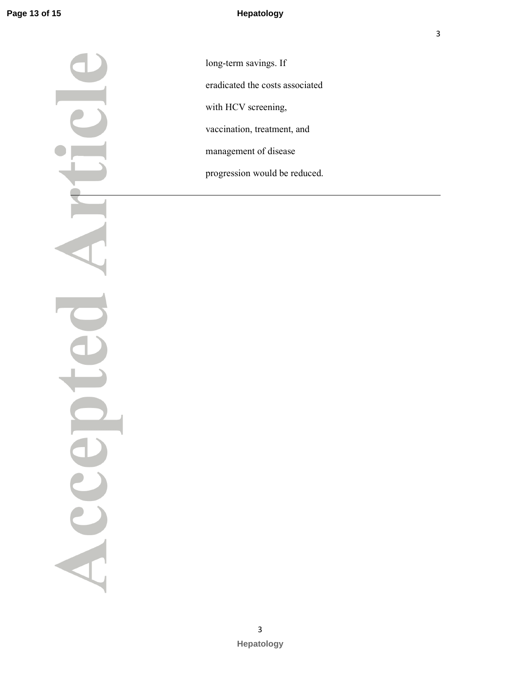Acce

long-term savings. If eradicated the costs associated with HCV screening, vaccination, treatment, and management of disease progression would be reduced.